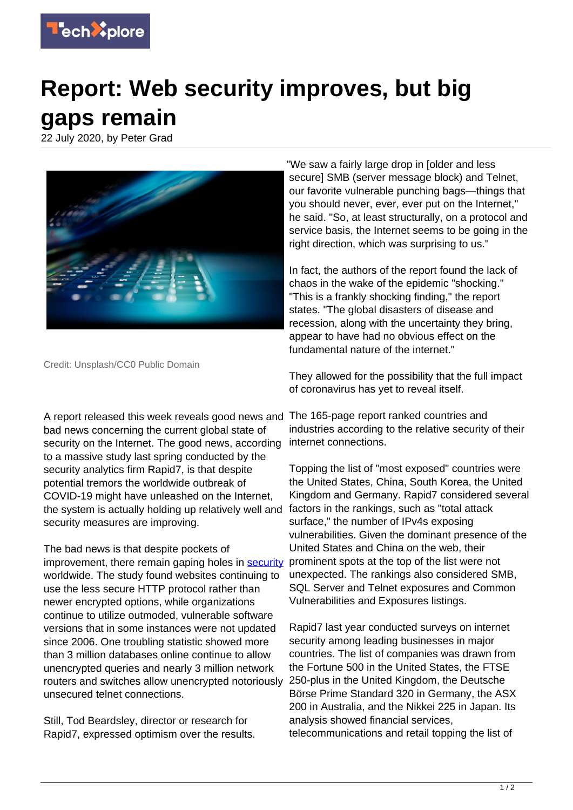

## **Report: Web security improves, but big gaps remain**

22 July 2020, by Peter Grad



Credit: Unsplash/CC0 Public Domain

A report released this week reveals good news and The 165-page report ranked countries and bad news concerning the current global state of security on the Internet. The good news, according to a massive study last spring conducted by the security analytics firm Rapid7, is that despite potential tremors the worldwide outbreak of COVID-19 might have unleashed on the Internet, the system is actually holding up relatively well and security measures are improving.

The bad news is that despite pockets of improvement, there remain gaping holes in [security](https://techxplore.com/tags/security/) worldwide. The study found websites continuing to use the less secure HTTP protocol rather than newer encrypted options, while organizations continue to utilize outmoded, vulnerable software versions that in some instances were not updated since 2006. One troubling statistic showed more than 3 million databases online continue to allow unencrypted queries and nearly 3 million network routers and switches allow unencrypted notoriously unsecured telnet connections.

Still, Tod Beardsley, director or research for Rapid7, expressed optimism over the results. "We saw a fairly large drop in [older and less secure] SMB (server message block) and Telnet, our favorite vulnerable punching bags—things that you should never, ever, ever put on the Internet," he said. "So, at least structurally, on a protocol and service basis, the Internet seems to be going in the right direction, which was surprising to us."

In fact, the authors of the report found the lack of chaos in the wake of the epidemic "shocking." "This is a frankly shocking finding," the report states. "The global disasters of disease and recession, along with the uncertainty they bring, appear to have had no obvious effect on the fundamental nature of the internet."

They allowed for the possibility that the full impact of coronavirus has yet to reveal itself.

industries according to the relative security of their internet connections.

Topping the list of "most exposed" countries were the United States, China, South Korea, the United Kingdom and Germany. Rapid7 considered several factors in the rankings, such as "total attack surface," the number of IPv4s exposing vulnerabilities. Given the dominant presence of the United States and China on the web, their prominent spots at the top of the list were not unexpected. The rankings also considered SMB, SQL Server and Telnet exposures and Common Vulnerabilities and Exposures listings.

Rapid7 last year conducted surveys on internet security among leading businesses in major countries. The list of companies was drawn from the Fortune 500 in the United States, the FTSE 250-plus in the United Kingdom, the Deutsche Börse Prime Standard 320 in Germany, the ASX 200 in Australia, and the Nikkei 225 in Japan. Its analysis showed financial services, telecommunications and retail topping the list of